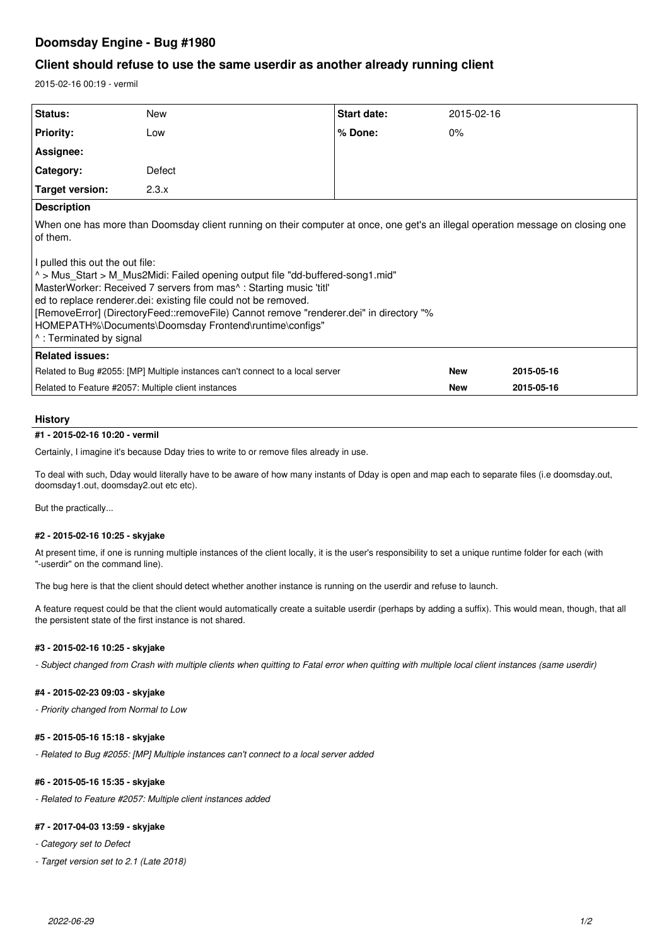# **Doomsday Engine - Bug #1980**

## **Client should refuse to use the same userdir as another already running client**

2015-02-16 00:19 - vermil

| Status:                                                                                                                                                                                                                                                                                                                                                                                                                                                                                                                                                         | New    | <b>Start date:</b> | 2015-02-16 |            |
|-----------------------------------------------------------------------------------------------------------------------------------------------------------------------------------------------------------------------------------------------------------------------------------------------------------------------------------------------------------------------------------------------------------------------------------------------------------------------------------------------------------------------------------------------------------------|--------|--------------------|------------|------------|
| <b>Priority:</b>                                                                                                                                                                                                                                                                                                                                                                                                                                                                                                                                                | Low    | % Done:            | $0\%$      |            |
| Assignee:                                                                                                                                                                                                                                                                                                                                                                                                                                                                                                                                                       |        |                    |            |            |
| Category:                                                                                                                                                                                                                                                                                                                                                                                                                                                                                                                                                       | Defect |                    |            |            |
| Target version:                                                                                                                                                                                                                                                                                                                                                                                                                                                                                                                                                 | 2.3.x  |                    |            |            |
| <b>Description</b>                                                                                                                                                                                                                                                                                                                                                                                                                                                                                                                                              |        |                    |            |            |
| When one has more than Doomsday client running on their computer at once, one get's an illegal operation message on closing one<br>of them.<br>I pulled this out the out file:<br>$\sim$ Mus Start > M Mus2Midi: Failed opening output file "dd-buffered-song1.mid"<br>MasterWorker: Received 7 servers from mas^: Starting music 'titl'<br>ed to replace renderer.dei: existing file could not be removed.<br> FemoveError] (DirectoryFeed::removeFile) Cannot remove "renderer.dei" in directory "%<br>HOMEPATH%\Documents\Doomsday Frontend\runtime\configs" |        |                    |            |            |
| 1. Terminated by signal                                                                                                                                                                                                                                                                                                                                                                                                                                                                                                                                         |        |                    |            |            |
| <b>Related issues:</b>                                                                                                                                                                                                                                                                                                                                                                                                                                                                                                                                          |        |                    |            |            |
| Related to Bug #2055: [MP] Multiple instances can't connect to a local server                                                                                                                                                                                                                                                                                                                                                                                                                                                                                   |        |                    | <b>New</b> | 2015-05-16 |
| Related to Feature #2057: Multiple client instances                                                                                                                                                                                                                                                                                                                                                                                                                                                                                                             |        |                    | <b>New</b> | 2015-05-16 |

### **History**

## **#1 - 2015-02-16 10:20 - vermil**

Certainly, I imagine it's because Dday tries to write to or remove files already in use.

To deal with such, Dday would literally have to be aware of how many instants of Dday is open and map each to separate files (i.e doomsday.out, doomsday1.out, doomsday2.out etc etc).

But the practically...

### **#2 - 2015-02-16 10:25 - skyjake**

At present time, if one is running multiple instances of the client locally, it is the user's responsibility to set a unique runtime folder for each (with "-userdir" on the command line).

The bug here is that the client should detect whether another instance is running on the userdir and refuse to launch.

A feature request could be that the client would automatically create a suitable userdir (perhaps by adding a suffix). This would mean, though, that all the persistent state of the first instance is not shared.

### **#3 - 2015-02-16 10:25 - skyjake**

*- Subject changed from Crash with multiple clients when quitting to Fatal error when quitting with multiple local client instances (same userdir)*

### **#4 - 2015-02-23 09:03 - skyjake**

*- Priority changed from Normal to Low*

#### **#5 - 2015-05-16 15:18 - skyjake**

*- Related to Bug #2055: [MP] Multiple instances can't connect to a local server added*

## **#6 - 2015-05-16 15:35 - skyjake**

*- Related to Feature #2057: Multiple client instances added*

#### **#7 - 2017-04-03 13:59 - skyjake**

*- Category set to Defect*

*- Target version set to 2.1 (Late 2018)*